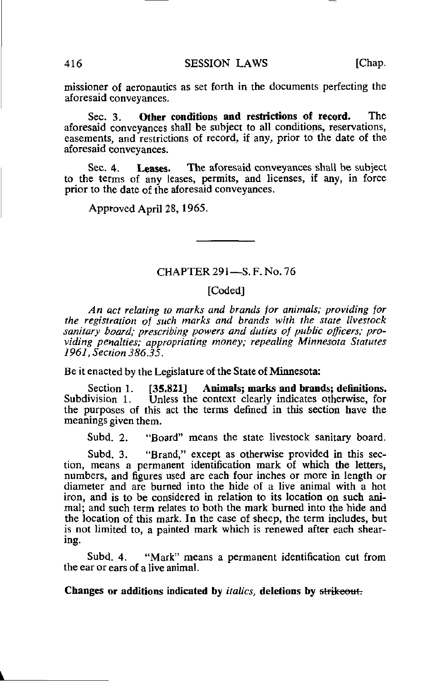missioner of aeronautics as set forth in the documents perfecting the aforesaid conveyances,

Sec. 3. Other conditions and restrictions of record. The aforesaid conveyances shall be subject to all conditions, reservations, easements, and restrictions of record, if any, prior to the date of the aforesaid conveyances.

Sec. 4. Leases. The aforesaid conveyances shall be subject to the terms of any leases, permits, and licenses, if any, in force prior to the date of the aforesaid conveyances.

Approved April 28,1965.

## CHAPTER 291-S.F. No. 76

## [Coded]

An act relating to marks and brands for animals; providing for the registration of such marks and brands with the state livestock sanitary board; prescribing powers and duties of public officers; providing penalties; appropriating money; repealing Minnesota Statutes 1961, Section 386.35.

Be it enacted by the Legislature of the State of Minnesota:

Section 1. [35.821] Animals; marks and brands; definitions.<br>Subdivision 1. Unless the context clearly indicates otherwise, for Unless the context clearly indicates otherwise, for the purposes of this act the terms denned in this section have the meanings given them.

Subd. 2. "Board" means the state livestock sanitary board.

Subd. 3. "Brand," except as otherwise provided in this section, means a permanent identification mark of which the letters, numbers, and figures used are each four inches or more in length or diameter and are burned into the hide of a live animal with a hot iron, and is to be considered in relation to its location on such animal; and such term relates to both the mark burned into the hide and the location of this mark. In the case of sheep, the term includes, but is not limited to, a painted mark which is renewed after each shearing.

Subd. 4. "Mark" means a permanent identification cut from the ear or ears of a live animal.

Changes or additions indicated by italics, deletions by strikeout;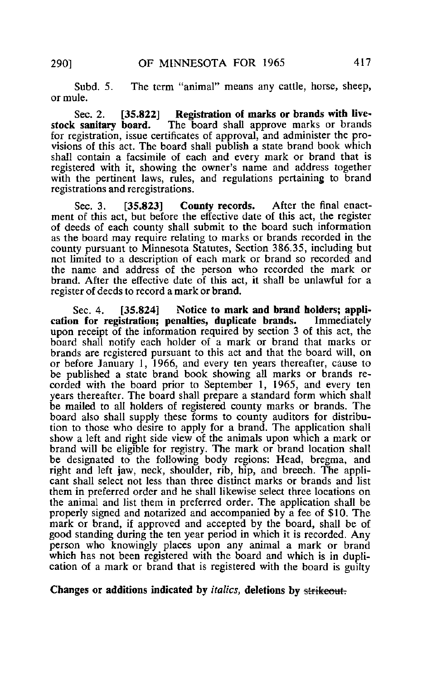Subd. 5. The term "animal" means any cattle, horse, sheep, or mule.

Sec. 2. [35.822] Registration of marks or brands with live-<br>stock sanitary board. The board shall approve marks or brands The board shall approve marks or brands for registration, issue certificates of approval, and administer the provisions of this act. The board shall publish a state brand book which shall contain a facsimile of each and every mark or brand that is registered with it, showing the owner's name and address together with the pertinent laws, rules, and regulations pertaining to brand registrations and reregistrations.

Sec. 3. [35.823] County records. After the final enactment of this act, but before the effective date of this act, the register of deeds of each county shall submit to the board such information as the board may require relating to marks or brands recorded in the county pursuant to Minnesota Statutes, Section 386.35, including but not limited to a description of each mark or brand so recorded and the name and address of the person who recorded the mark or brand. After the effective date of this act, it shall be unlawful for a register of deeds to record a mark or brand.

Sec. 4. [35.824] Notice to mark and brand holders; appli-<br>n for registration: penalties, duplicate brands. Immediately cation for registration; penalties, duplicate brands. upon receipt of the information required by section 3 of this act, the board shall notify each holder of a mark or brand that marks or brands are registered pursuant to this act and that the board will, on or before January 1, 1966, and every ten years thereafter, cause to be published a state brand book showing all marks or brands recorded with the board prior to September 1, 1965, and every ten years thereafter. The board shall prepare a standard form which shall be mailed to all holders of registered county marks or brands. The board also shall supply these forms to county auditors for distribution to those who desire to apply for a brand. The application shall show a left and right side view of the animals upon which a mark or brand will be eligible for registry. The mark or brand location shall be designated to the following body regions: Head, bregma, and right and left jaw, neck, shoulder, rib, hip, and breech. The applicant shall select not less than three distinct marks or brands and list them in preferred order and he shall likewise select three locations on the animal and list them in preferred order. The application shall be properly signed and notarized and accompanied by a fee of \$10. The mark or brand, if approved and accepted by the board, shall be of good standing during the ten year period in which it is recorded. Any person who knowingly places upon any animal a mark or brand which has not been registered with the board and which is in duplication of a mark or brand that is registered with the board is guilty

## Changes or additions indicated by *italics*, deletions by strikeout.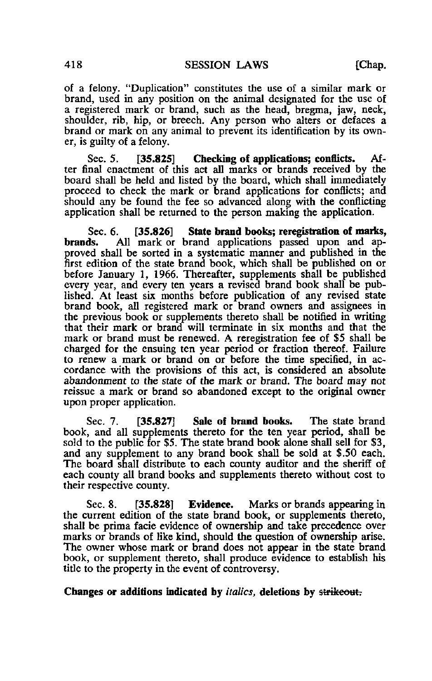of a felony. "Duplication" constitutes the use of a similar mark or brand, used in any position on the animal designated for the use of a registered mark or brand, such as the head, bregma, jaw, neck, shoulder, rib, hip, or breech. Any person who alters or defaces a brand or mark on any animal to prevent its identification by its owner, is guilty of a felony.

Sec. 5. [35.825] Checking of applications: conflicts. After final enactment of this act all marks or brands received by the board shall be held and listed by the board, which shall immediately proceed to check the mark or brand applications for conflicts; and should any be found the fee so advanced along with the conflicting application shall be returned to the person making the application.

Sec. 6. [35.826] State brand books; reregistration of marks,<br>brands. All mark or brand applications passed upon and ap-All mark or brand applications passed upon and approved shall be sorted in a systematic manner and published in the first edition of the state brand book, which shall be published on or before January 1, 1966. Thereafter, supplements shall be published every year, and every ten years a revised brand book shall be published. At least six months before publication of any revised state brand book, all registered mark or brand owners and assignees in the previous book or supplements thereto shall be notified in writing that their mark or brand will terminate in six months and that the mark or brand must be renewed. A reregistration fee of \$5 shall be charged for the ensuing ten year period or fraction thereof. Failure to renew a mark or brand on or before the tune specified, in accordance with the provisions of this act, is considered an absolute abandonment to the state of the mark or brand. The board may not reissue a mark or brand so abandoned except to the original owner upon proper application.

Sec. 7. **[35.827]** Sale of brand books. The state brand book, and all supplements thereto for the ten year period, shall be sold to the public for \$5. The state brand book alone shall sell for \$3, and any supplement to any brand book shall be sold at \$.50 each. The board shall distribute to each county auditor and the sheriff of each county all brand books and supplements thereto without cost to their respective county.

Sec. 8. [35.828] Evidence. Marks or brands appearing in the current edition of the state brand book, or supplements thereto, shall be prima facie evidence of ownership and take precedence over marks or brands of like kind, should the question of ownership arise. The owner whose mark or brand does not appear in the state brand book, or supplement thereto, shall produce evidence to establish his title to the property in the event of controversy.

Changes or additions indicated by italics, deletions by strikeout.